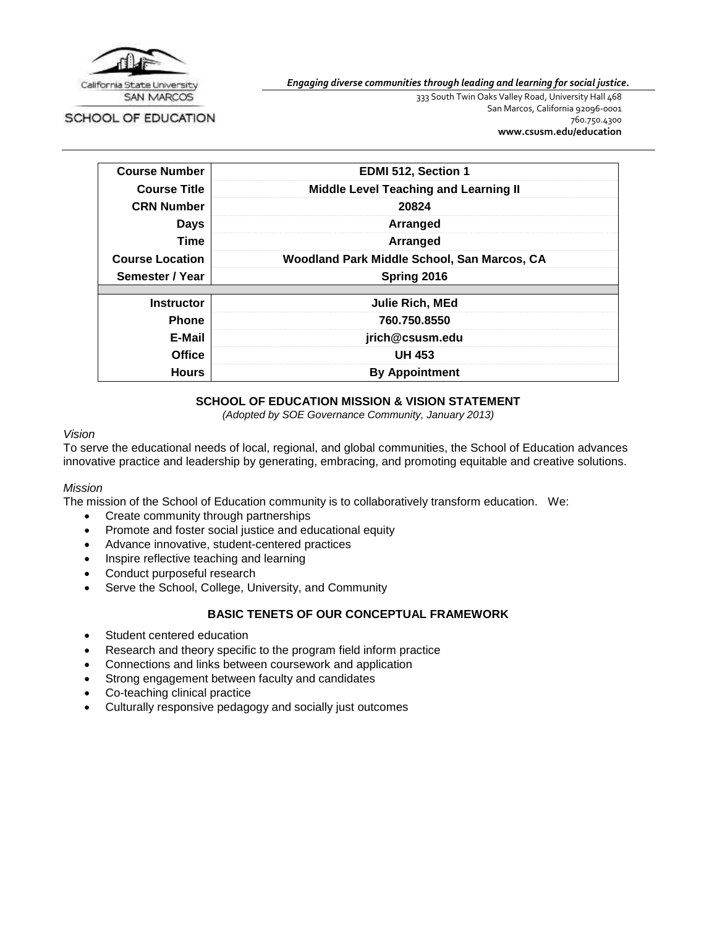

SCHOOL OF EDUCATION

*Engaging diverse communities through leading and learning for social justice.*

333 South Twin Oaks Valley Road, University Hall 468 San Marcos, California 92096-0001 760.750.4300 **[www.csusm.edu/education](http://www.csusm.edu/education)**

| <b>Course Number</b>   | EDMI 512, Section 1                          |  |
|------------------------|----------------------------------------------|--|
| <b>Course Title</b>    | <b>Middle Level Teaching and Learning II</b> |  |
| <b>CRN Number</b>      | 20824                                        |  |
| <b>Days</b>            | Arranged                                     |  |
| Time                   | Arranged                                     |  |
| <b>Course Location</b> | Woodland Park Middle School, San Marcos, CA  |  |
| Semester / Year        | Spring 2016                                  |  |
| <b>Instructor</b>      | Julie Rich, MEd                              |  |
| <b>Phone</b>           | 760.750.8550                                 |  |
| E-Mail                 | jrich@csusm.edu                              |  |
| <b>Office</b>          | <b>UH 453</b>                                |  |
| <b>Hours</b>           | <b>By Appointment</b>                        |  |

## **SCHOOL OF EDUCATION MISSION & VISION STATEMENT**

*(Adopted by SOE Governance Community, January 2013)*

## *Vision*

To serve the educational needs of local, regional, and global communities, the School of Education advances innovative practice and leadership by generating, embracing, and promoting equitable and creative solutions.

#### *Mission*

The mission of the School of Education community is to collaboratively transform education. We:

- Create community through partnerships
- Promote and foster social justice and educational equity
- Advance innovative, student-centered practices
- Inspire reflective teaching and learning
- Conduct purposeful research
- Serve the School, College, University, and Community

# **BASIC TENETS OF OUR CONCEPTUAL FRAMEWORK**

- Student centered education
- Research and theory specific to the program field inform practice
- Connections and links between coursework and application
- Strong engagement between faculty and candidates
- Co-teaching clinical practice
- Culturally responsive pedagogy and socially just outcomes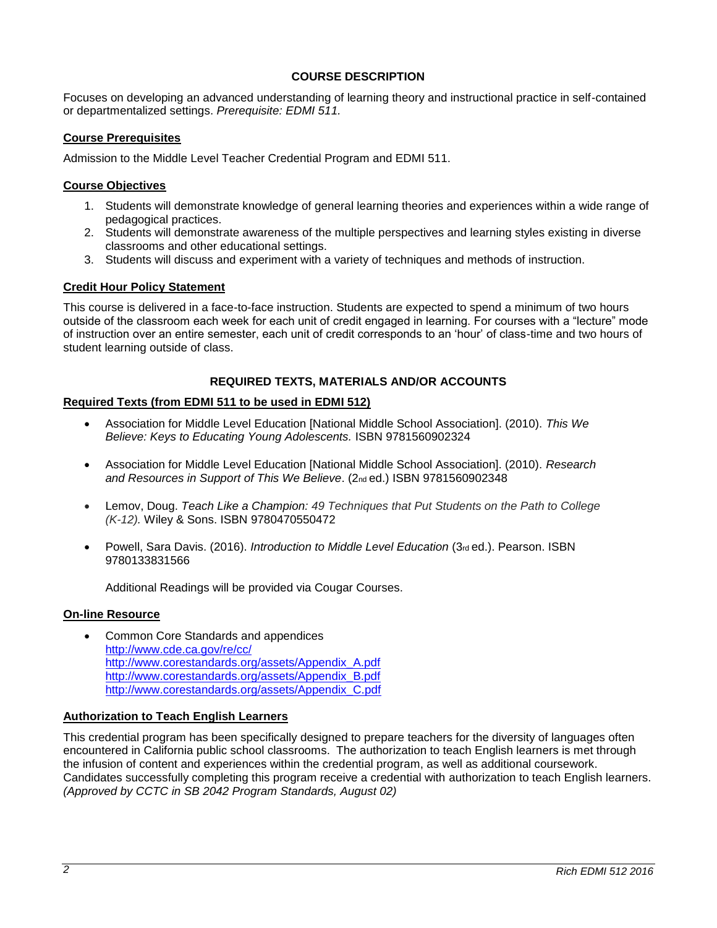## **COURSE DESCRIPTION**

Focuses on developing an advanced understanding of learning theory and instructional practice in self-contained or departmentalized settings. *Prerequisite: EDMI 511.*

## **Course Prerequisites**

Admission to the Middle Level Teacher Credential Program and EDMI 511.

#### **Course Objectives**

- 1. Students will demonstrate knowledge of general learning theories and experiences within a wide range of pedagogical practices.
- 2. Students will demonstrate awareness of the multiple perspectives and learning styles existing in diverse classrooms and other educational settings.
- 3. Students will discuss and experiment with a variety of techniques and methods of instruction.

## **Credit Hour Policy Statement**

This course is delivered in a face-to-face instruction. Students are expected to spend a minimum of two hours outside of the classroom each week for each unit of credit engaged in learning. For courses with a "lecture" mode of instruction over an entire semester, each unit of credit corresponds to an 'hour' of class-time and two hours of student learning outside of class.

## **REQUIRED TEXTS, MATERIALS AND/OR ACCOUNTS**

## **Required Texts (from EDMI 511 to be used in EDMI 512)**

- Association for Middle Level Education [National Middle School Association]. (2010). *This We Believe: Keys to Educating Young Adolescents.* ISBN 9781560902324
- Association for Middle Level Education [National Middle School Association]. (2010). *Research and Resources in Support of This We Believe*. (2nd ed.) ISBN 9781560902348
- Lemov, Doug. *Teach Like a Champion: 49 Techniques that Put Students on the Path to College (K-12).* Wiley & Sons. ISBN 9780470550472
- Powell, Sara Davis. (2016). *Introduction to Middle Level Education* (3rd ed.). Pearson. ISBN 9780133831566

Additional Readings will be provided via Cougar Courses.

#### **On-line Resource**

 Common Core Standards and appendices <http://www.cde.ca.gov/re/cc/> [http://www.corestandards.org/assets/Appendix\\_A.pdf](http://www.corestandards.org/assets/Appendix_A.pdf) [http://www.corestandards.org/assets/Appendix\\_B.pdf](http://www.corestandards.org/assets/Appendix_B.pdf) [http://www.corestandards.org/assets/Appendix\\_C.pdf](http://www.corestandards.org/assets/Appendix_C.pdf)

#### **Authorization to Teach English Learners**

This credential program has been specifically designed to prepare teachers for the diversity of languages often encountered in California public school classrooms. The authorization to teach English learners is met through the infusion of content and experiences within the credential program, as well as additional coursework. Candidates successfully completing this program receive a credential with authorization to teach English learners. *(Approved by CCTC in SB 2042 Program Standards, August 02)*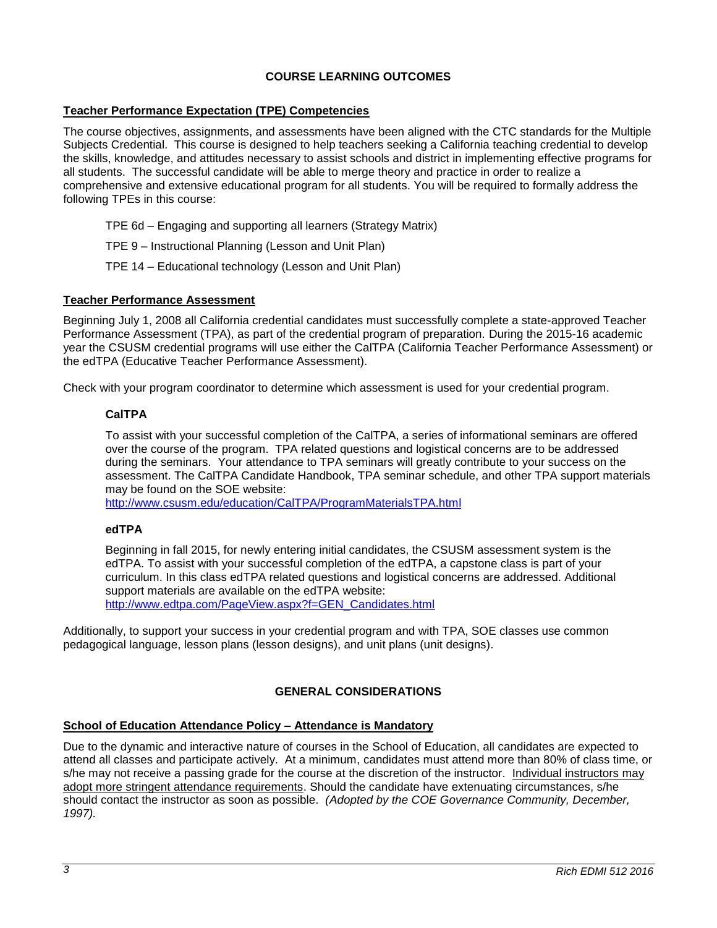# **COURSE LEARNING OUTCOMES**

## **Teacher Performance Expectation (TPE) Competencies**

The course objectives, assignments, and assessments have been aligned with the CTC standards for the Multiple Subjects Credential. This course is designed to help teachers seeking a California teaching credential to develop the skills, knowledge, and attitudes necessary to assist schools and district in implementing effective programs for all students. The successful candidate will be able to merge theory and practice in order to realize a comprehensive and extensive educational program for all students. You will be required to formally address the following TPEs in this course:

- TPE 6d Engaging and supporting all learners (Strategy Matrix)
- TPE 9 Instructional Planning (Lesson and Unit Plan)
- TPE 14 Educational technology (Lesson and Unit Plan)

#### **Teacher Performance Assessment**

Beginning July 1, 2008 all California credential candidates must successfully complete a state-approved Teacher Performance Assessment (TPA), as part of the credential program of preparation. During the 2015-16 academic year the CSUSM credential programs will use either the CalTPA (California Teacher Performance Assessment) or the edTPA (Educative Teacher Performance Assessment).

Check with your program coordinator to determine which assessment is used for your credential program.

## **CalTPA**

To assist with your successful completion of the CalTPA, a series of informational seminars are offered over the course of the program. TPA related questions and logistical concerns are to be addressed during the seminars. Your attendance to TPA seminars will greatly contribute to your success on the assessment. The CalTPA Candidate Handbook, TPA seminar schedule, and other TPA support materials may be found on the SOE website:

<http://www.csusm.edu/education/CalTPA/ProgramMaterialsTPA.html>

#### **edTPA**

Beginning in fall 2015, for newly entering initial candidates, the CSUSM assessment system is the edTPA. To assist with your successful completion of the edTPA, a capstone class is part of your curriculum. In this class edTPA related questions and logistical concerns are addressed. Additional support materials are available on the edTPA website: [http://www.edtpa.com/PageView.aspx?f=GEN\\_Candidates.html](http://www.edtpa.com/PageView.aspx?f=GEN_Candidates.html)

Additionally, to support your success in your credential program and with TPA, SOE classes use common pedagogical language, lesson plans (lesson designs), and unit plans (unit designs).

# **GENERAL CONSIDERATIONS**

#### **School of Education Attendance Policy – Attendance is Mandatory**

Due to the dynamic and interactive nature of courses in the School of Education, all candidates are expected to attend all classes and participate actively. At a minimum, candidates must attend more than 80% of class time, or s/he may not receive a passing grade for the course at the discretion of the instructor. Individual instructors may adopt more stringent attendance requirements. Should the candidate have extenuating circumstances, s/he should contact the instructor as soon as possible. *(Adopted by the COE Governance Community, December, 1997).*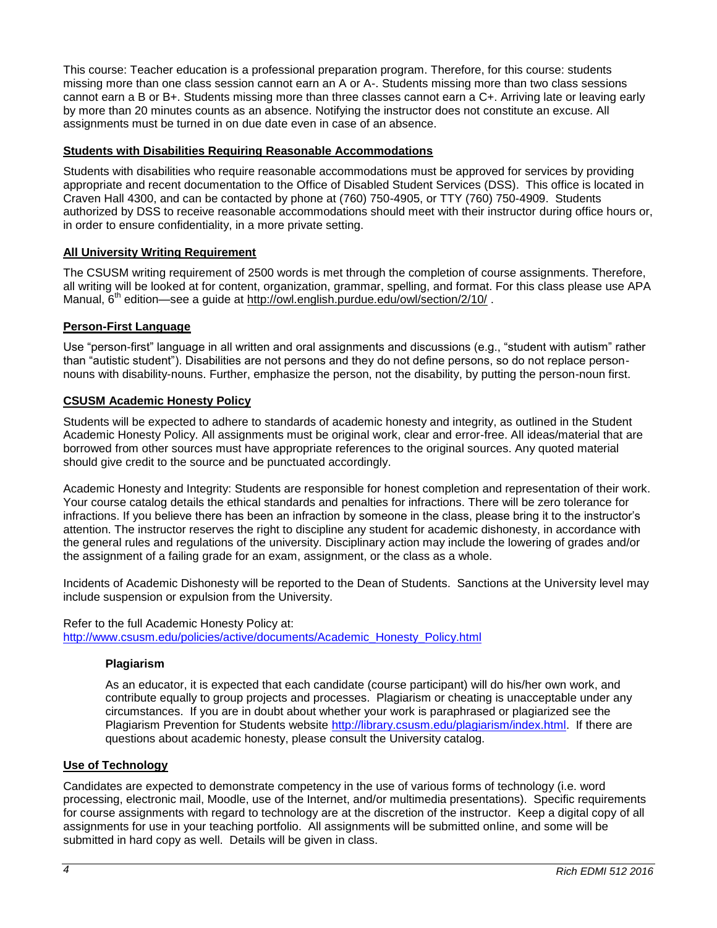This course: Teacher education is a professional preparation program. Therefore, for this course: students missing more than one class session cannot earn an A or A-. Students missing more than two class sessions cannot earn a B or B+. Students missing more than three classes cannot earn a C+. Arriving late or leaving early by more than 20 minutes counts as an absence. Notifying the instructor does not constitute an excuse. All assignments must be turned in on due date even in case of an absence.

## **Students with Disabilities Requiring Reasonable Accommodations**

Students with disabilities who require reasonable accommodations must be approved for services by providing appropriate and recent documentation to the Office of Disabled Student Services (DSS). This office is located in Craven Hall 4300, and can be contacted by phone at (760) 750-4905, or TTY (760) 750-4909. Students authorized by DSS to receive reasonable accommodations should meet with their instructor during office hours or, in order to ensure confidentiality, in a more private setting.

## **All University Writing Requirement**

The CSUSM writing requirement of 2500 words is met through the completion of course assignments. Therefore, all writing will be looked at for content, organization, grammar, spelling, and format. For this class please use APA Manual,  $6<sup>th</sup>$  edition—see a quide at<http://owl.english.purdue.edu/owl/section/2/10/>.

## **Person-First Language**

Use "person-first" language in all written and oral assignments and discussions (e.g., "student with autism" rather than "autistic student"). Disabilities are not persons and they do not define persons, so do not replace personnouns with disability-nouns. Further, emphasize the person, not the disability, by putting the person-noun first.

#### **CSUSM Academic Honesty Policy**

Students will be expected to adhere to standards of academic honesty and integrity, as outlined in the Student Academic Honesty Policy. All assignments must be original work, clear and error-free. All ideas/material that are borrowed from other sources must have appropriate references to the original sources. Any quoted material should give credit to the source and be punctuated accordingly.

Academic Honesty and Integrity: Students are responsible for honest completion and representation of their work. Your course catalog details the ethical standards and penalties for infractions. There will be zero tolerance for infractions. If you believe there has been an infraction by someone in the class, please bring it to the instructor's attention. The instructor reserves the right to discipline any student for academic dishonesty, in accordance with the general rules and regulations of the university. Disciplinary action may include the lowering of grades and/or the assignment of a failing grade for an exam, assignment, or the class as a whole.

Incidents of Academic Dishonesty will be reported to the Dean of Students. Sanctions at the University level may include suspension or expulsion from the University.

Refer to the full Academic Honesty Policy at: [http://www.csusm.edu/policies/active/documents/Academic\\_Honesty\\_Policy.html](http://www.csusm.edu/policies/active/documents/Academic_Honesty_Policy.html)

#### **Plagiarism**

As an educator, it is expected that each candidate (course participant) will do his/her own work, and contribute equally to group projects and processes. Plagiarism or cheating is unacceptable under any circumstances. If you are in doubt about whether your work is paraphrased or plagiarized see the Plagiarism Prevention for Students website [http://library.csusm.edu/plagiarism/index.html.](http://library.csusm.edu/plagiarism/index.html) If there are questions about academic honesty, please consult the University catalog.

#### **Use of Technology**

Candidates are expected to demonstrate competency in the use of various forms of technology (i.e. word processing, electronic mail, Moodle, use of the Internet, and/or multimedia presentations). Specific requirements for course assignments with regard to technology are at the discretion of the instructor. Keep a digital copy of all assignments for use in your teaching portfolio. All assignments will be submitted online, and some will be submitted in hard copy as well. Details will be given in class.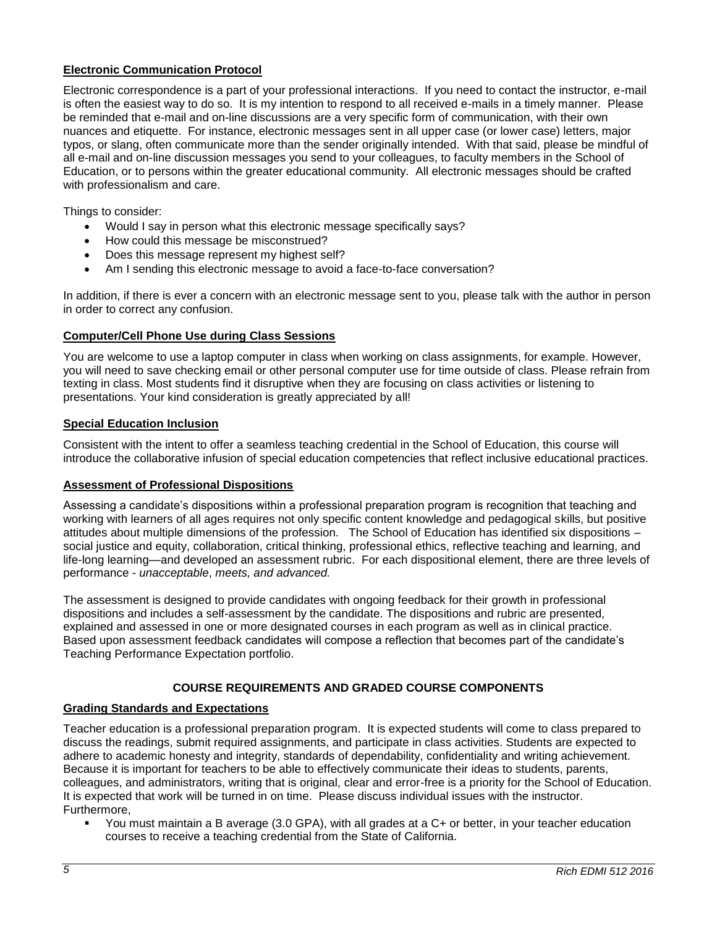## **Electronic Communication Protocol**

Electronic correspondence is a part of your professional interactions. If you need to contact the instructor, e-mail is often the easiest way to do so. It is my intention to respond to all received e-mails in a timely manner. Please be reminded that e-mail and on-line discussions are a very specific form of communication, with their own nuances and etiquette. For instance, electronic messages sent in all upper case (or lower case) letters, major typos, or slang, often communicate more than the sender originally intended. With that said, please be mindful of all e-mail and on-line discussion messages you send to your colleagues, to faculty members in the School of Education, or to persons within the greater educational community. All electronic messages should be crafted with professionalism and care.

Things to consider:

- Would I say in person what this electronic message specifically says?
- How could this message be misconstrued?
- Does this message represent my highest self?
- Am I sending this electronic message to avoid a face-to-face conversation?

In addition, if there is ever a concern with an electronic message sent to you, please talk with the author in person in order to correct any confusion.

## **Computer/Cell Phone Use during Class Sessions**

You are welcome to use a laptop computer in class when working on class assignments, for example. However, you will need to save checking email or other personal computer use for time outside of class. Please refrain from texting in class. Most students find it disruptive when they are focusing on class activities or listening to presentations. Your kind consideration is greatly appreciated by all!

## **Special Education Inclusion**

Consistent with the intent to offer a seamless teaching credential in the School of Education, this course will introduce the collaborative infusion of special education competencies that reflect inclusive educational practices.

## **Assessment of Professional Dispositions**

Assessing a candidate's dispositions within a professional preparation program is recognition that teaching and working with learners of all ages requires not only specific content knowledge and pedagogical skills, but positive attitudes about multiple dimensions of the profession. The School of Education has identified six dispositions – social justice and equity, collaboration, critical thinking, professional ethics, reflective teaching and learning, and life-long learning—and developed an assessment rubric. For each dispositional element, there are three levels of performance - *unacceptable*, *meets, and advanced.*

The assessment is designed to provide candidates with ongoing feedback for their growth in professional dispositions and includes a self-assessment by the candidate. The dispositions and rubric are presented, explained and assessed in one or more designated courses in each program as well as in clinical practice. Based upon assessment feedback candidates will compose a reflection that becomes part of the candidate's Teaching Performance Expectation portfolio.

# **COURSE REQUIREMENTS AND GRADED COURSE COMPONENTS**

## **Grading Standards and Expectations**

Teacher education is a professional preparation program. It is expected students will come to class prepared to discuss the readings, submit required assignments, and participate in class activities. Students are expected to adhere to academic honesty and integrity, standards of dependability, confidentiality and writing achievement. Because it is important for teachers to be able to effectively communicate their ideas to students, parents, colleagues, and administrators, writing that is original, clear and error-free is a priority for the School of Education. It is expected that work will be turned in on time. Please discuss individual issues with the instructor. Furthermore,

 You must maintain a B average (3.0 GPA), with all grades at a C+ or better, in your teacher education courses to receive a teaching credential from the State of California.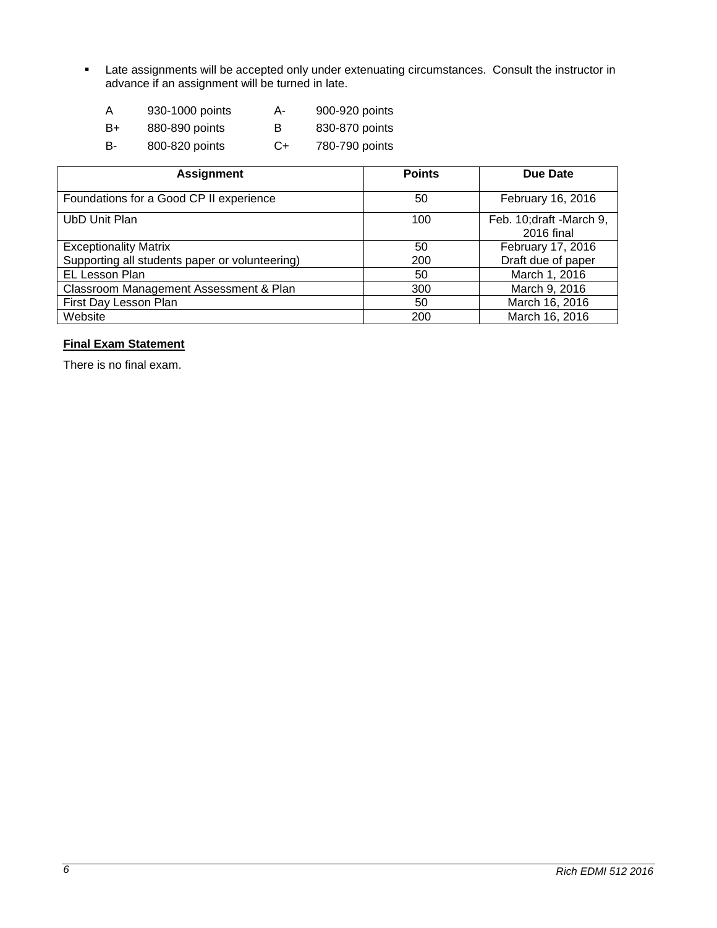**EXEC** Late assignments will be accepted only under extenuating circumstances. Consult the instructor in advance if an assignment will be turned in late.

| A  | 930-1000 points | А- | 900-920 points |
|----|-----------------|----|----------------|
| B+ | 880-890 points  | в  | 830-870 points |
| B- | 800-820 points  | C+ | 780-790 points |

| <b>Assignment</b>                              | <b>Points</b> | Due Date                                |
|------------------------------------------------|---------------|-----------------------------------------|
| Foundations for a Good CP II experience        | 50            | February 16, 2016                       |
| UbD Unit Plan                                  | 100           | Feb. 10; draft - March 9,<br>2016 final |
| <b>Exceptionality Matrix</b>                   | 50            | February 17, 2016                       |
| Supporting all students paper or volunteering) | 200           | Draft due of paper                      |
| EL Lesson Plan                                 | 50            | March 1, 2016                           |
| Classroom Management Assessment & Plan         | 300           | March 9, 2016                           |
| First Day Lesson Plan                          | 50            | March 16, 2016                          |
| Website                                        | 200           | March 16, 2016                          |

# **Final Exam Statement**

There is no final exam.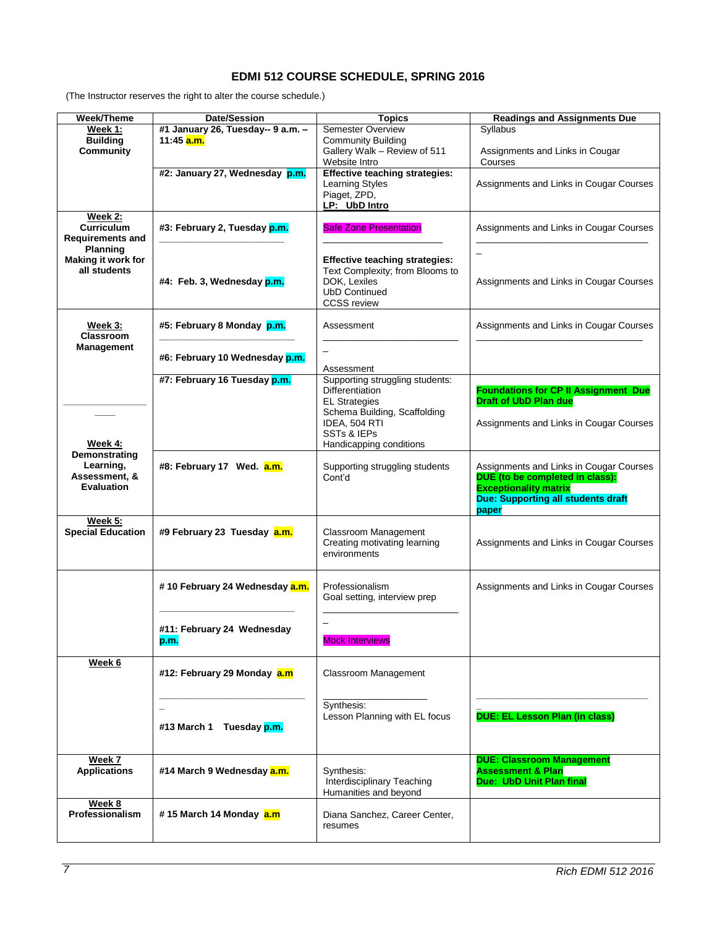# **EDMI 512 COURSE SCHEDULE, SPRING 2016**

(The Instructor reserves the right to alter the course schedule.)

| Week/Theme                   | <b>Date/Session</b>                     | <b>Topics</b>                         | <b>Readings and Assignments Due</b>         |
|------------------------------|-----------------------------------------|---------------------------------------|---------------------------------------------|
| Week 1:                      | #1 January 26, Tuesday-- 9 a.m. -       | <b>Semester Overview</b>              | Syllabus                                    |
| <b>Building</b>              | 11:45 <b>a.m.</b>                       | <b>Community Building</b>             |                                             |
| <b>Community</b>             |                                         | Gallery Walk - Review of 511          | Assignments and Links in Cougar             |
|                              |                                         | Website Intro                         | Courses                                     |
|                              | #2: January 27, Wednesday p.m.          | <b>Effective teaching strategies:</b> |                                             |
|                              |                                         | Learning Styles                       | Assignments and Links in Cougar Courses     |
|                              |                                         | Piaget, ZPD,                          |                                             |
|                              |                                         | LP: UbD Intro                         |                                             |
|                              |                                         |                                       |                                             |
| Week 2:<br><b>Curriculum</b> |                                         |                                       |                                             |
|                              | #3: February 2, Tuesday p.m.            | <b>Safe Zone Presentation</b>         | Assignments and Links in Cougar Courses     |
| <b>Requirements and</b>      |                                         |                                       |                                             |
| <b>Planning</b>              |                                         |                                       | $\overline{\phantom{0}}$                    |
| Making it work for           |                                         | <b>Effective teaching strategies:</b> |                                             |
| all students                 |                                         | Text Complexity; from Blooms to       |                                             |
|                              | #4: Feb. 3, Wednesday p.m.              | DOK, Lexiles                          | Assignments and Links in Cougar Courses     |
|                              |                                         | <b>UbD Continued</b>                  |                                             |
|                              |                                         | <b>CCSS</b> review                    |                                             |
|                              |                                         |                                       |                                             |
| Week 3:                      | #5: February 8 Monday p.m.              | Assessment                            | Assignments and Links in Cougar Courses     |
| Classroom                    |                                         |                                       |                                             |
| <b>Management</b>            |                                         |                                       |                                             |
|                              | #6: February 10 Wednesday p.m.          | $\overline{\phantom{0}}$              |                                             |
|                              |                                         |                                       |                                             |
|                              |                                         | Assessment                            |                                             |
|                              | #7: February 16 Tuesday p.m.            | Supporting struggling students:       |                                             |
|                              |                                         | <b>Differentiation</b>                | <b>Foundations for CP II Assignment Due</b> |
|                              |                                         | <b>EL Strategies</b>                  | <b>Draft of UbD Plan due</b>                |
|                              |                                         | Schema Building, Scaffolding          |                                             |
|                              |                                         | IDEA, 504 RTI                         | Assignments and Links in Cougar Courses     |
|                              |                                         | SSTs & IEPs                           |                                             |
| Week 4:                      |                                         | Handicapping conditions               |                                             |
| Demonstrating                |                                         |                                       |                                             |
| Learning,                    | #8: February 17 Wed. a.m.               | Supporting struggling students        | Assignments and Links in Cougar Courses     |
| Assessment, &                |                                         | Cont'd                                | DUE (to be completed in class):             |
| <b>Evaluation</b>            |                                         |                                       | <b>Exceptionality matrix</b>                |
|                              |                                         |                                       | <b>Due: Supporting all students draft</b>   |
|                              |                                         |                                       | paper                                       |
| Week 5:                      |                                         |                                       |                                             |
| <b>Special Education</b>     | #9 February 23 Tuesday a.m.             | Classroom Management                  |                                             |
|                              |                                         | Creating motivating learning          | Assignments and Links in Cougar Courses     |
|                              |                                         | environments                          |                                             |
|                              |                                         |                                       |                                             |
|                              |                                         |                                       |                                             |
|                              |                                         | Professionalism                       |                                             |
|                              | # 10 February 24 Wednesday a.m.         |                                       | Assignments and Links in Cougar Courses     |
|                              |                                         | Goal setting, interview prep          |                                             |
|                              |                                         |                                       |                                             |
|                              |                                         |                                       |                                             |
|                              | #11: February 24 Wednesday              |                                       |                                             |
|                              | p.m.                                    | <b>Mock Interviews</b>                |                                             |
|                              |                                         |                                       |                                             |
| Week 6                       |                                         |                                       |                                             |
|                              | #12: February 29 Monday a.m             | Classroom Management                  |                                             |
|                              |                                         |                                       |                                             |
|                              |                                         |                                       |                                             |
|                              |                                         | Synthesis:                            |                                             |
|                              |                                         | Lesson Planning with EL focus         | <b>DUE: EL Lesson Plan (in class)</b>       |
|                              | Tuesday p.m.<br>#13 March 1             |                                       |                                             |
|                              |                                         |                                       |                                             |
|                              |                                         |                                       |                                             |
| Week 7                       |                                         |                                       | <b>DUE: Classroom Management</b>            |
| <b>Applications</b>          | #14 March 9 Wednesday <mark>a.m.</mark> | Synthesis:                            | <b>Assessment &amp; Plan</b>                |
|                              |                                         | Interdisciplinary Teaching            | Due: UbD Unit Plan final                    |
|                              |                                         | Humanities and beyond                 |                                             |
| Week 8                       |                                         |                                       |                                             |
| Professionalism              | # 15 March 14 Monday a.m                | Diana Sanchez, Career Center,         |                                             |
|                              |                                         |                                       |                                             |
|                              |                                         | resumes                               |                                             |
|                              |                                         |                                       |                                             |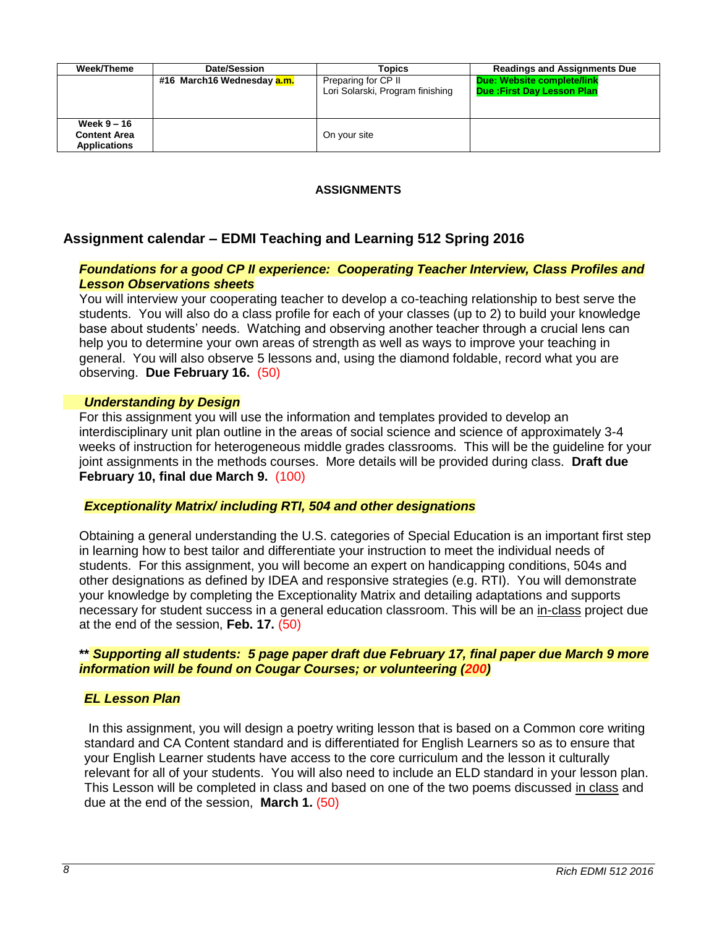| Week/Theme                                                | Date/Session                      | Topics                                                  | <b>Readings and Assignments Due</b>                             |
|-----------------------------------------------------------|-----------------------------------|---------------------------------------------------------|-----------------------------------------------------------------|
|                                                           | #16 March16 Wednesday <b>a.m.</b> | Preparing for CP II<br>Lori Solarski, Program finishing | Due: Website complete/link<br><b>Due: First Day Lesson Plan</b> |
| Week $9-16$<br><b>Content Area</b><br><b>Applications</b> |                                   | On your site                                            |                                                                 |

# **ASSIGNMENTS**

# **Assignment calendar – EDMI Teaching and Learning 512 Spring 2016**

# *Foundations for a good CP II experience: Cooperating Teacher Interview, Class Profiles and Lesson Observations sheets*

You will interview your cooperating teacher to develop a co-teaching relationship to best serve the students. You will also do a class profile for each of your classes (up to 2) to build your knowledge base about students' needs. Watching and observing another teacher through a crucial lens can help you to determine your own areas of strength as well as ways to improve your teaching in general. You will also observe 5 lessons and, using the diamond foldable, record what you are observing. **Due February 16.** (50)

## *Understanding by Design*

For this assignment you will use the information and templates provided to develop an interdisciplinary unit plan outline in the areas of social science and science of approximately 3-4 weeks of instruction for heterogeneous middle grades classrooms. This will be the guideline for your joint assignments in the methods courses. More details will be provided during class. **Draft due February 10, final due March 9.** (100)

## *Exceptionality Matrix/ including RTI, 504 and other designations*

Obtaining a general understanding the U.S. categories of Special Education is an important first step in learning how to best tailor and differentiate your instruction to meet the individual needs of students. For this assignment, you will become an expert on handicapping conditions, 504s and other designations as defined by IDEA and responsive strategies (e.g. RTI). You will demonstrate your knowledge by completing the Exceptionality Matrix and detailing adaptations and supports necessary for student success in a general education classroom. This will be an in-class project due at the end of the session, **Feb. 17.** (50)

# **\*\*** *Supporting all students: 5 page paper draft due February 17, final paper due March 9 more information will be found on Cougar Courses; or volunteering (200)*

# *EL Lesson Plan*

 In this assignment, you will design a poetry writing lesson that is based on a Common core writing standard and CA Content standard and is differentiated for English Learners so as to ensure that your English Learner students have access to the core curriculum and the lesson it culturally relevant for all of your students. You will also need to include an ELD standard in your lesson plan. This Lesson will be completed in class and based on one of the two poems discussed in class and due at the end of the session, **March 1.** (50)